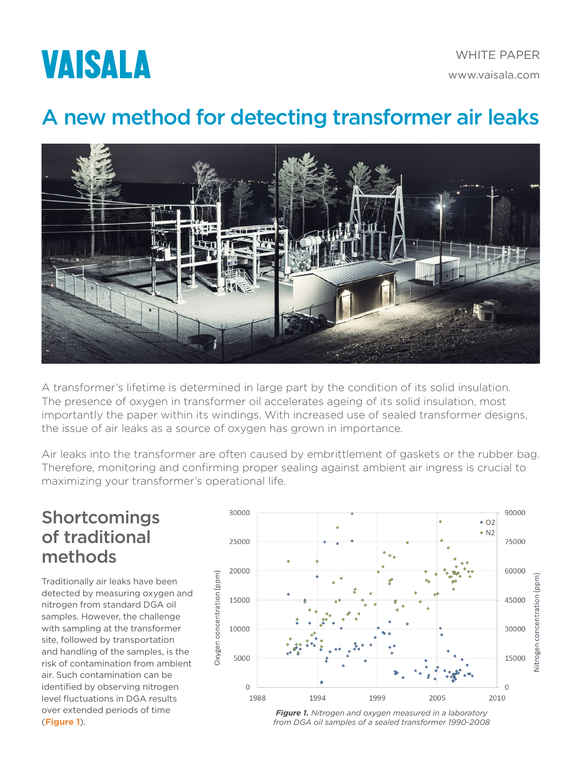

## A new method for detecting transformer air leaks



A transformer's lifetime is determined in large part by the condition of its solid insulation. The presence of oxygen in transformer oil accelerates ageing of its solid insulation, most importantly the paper within its windings. With increased use of sealed transformer designs, the issue of air leaks as a source of oxygen has grown in importance.

Air leaks into the transformer are often caused by embrittlement of gaskets or the rubber bag. Therefore, monitoring and confirming proper sealing against ambient air ingress is crucial to maximizing your transformer's operational life.

### Shortcomings of traditional methods

Traditionally air leaks have been detected by measuring oxygen and nitrogen from standard DGA oil samples. However, the challenge with sampling at the transformer site, followed by transportation and handling of the samples, is the risk of contamination from ambient air. Such contamination can be identified by observing nitrogen level fluctuations in DGA results over extended periods of time (**Figure 1**).



*Figure 1. Nitrogen and oxygen measured in a laboratory from DGA oil samples of a sealed transformer 1990-2008*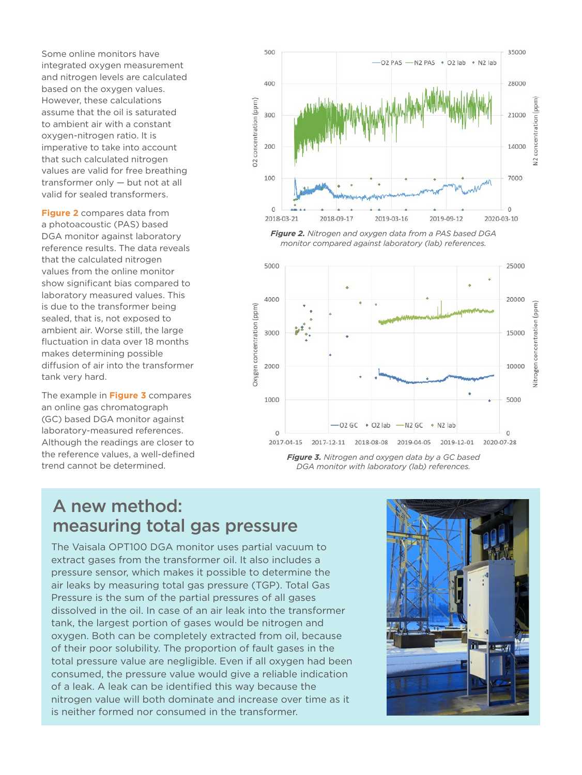Some online monitors have integrated oxygen measurement and nitrogen levels are calculated based on the oxygen values. However, these calculations assume that the oil is saturated to ambient air with a constant oxygen-nitrogen ratio. It is imperative to take into account that such calculated nitrogen values are valid for free breathing transformer only — but not at all valid for sealed transformers.

**Figure 2** compares data from a photoacoustic (PAS) based DGA monitor against laboratory reference results. The data reveals that the calculated nitrogen values from the online monitor show significant bias compared to laboratory measured values. This is due to the transformer being sealed, that is, not exposed to ambient air. Worse still, the large fluctuation in data over 18 months makes determining possible diffusion of air into the transformer tank very hard.

The example in **Figure 3** compares an online gas chromatograph (GC) based DGA monitor against laboratory-measured references. Although the readings are closer to the reference values, a well-defined trend cannot be determined.







*Figure 3. Nitrogen and oxygen data by a GC based DGA monitor with laboratory (lab) references.*

### A new method: measuring total gas pressure

The Vaisala OPT100 DGA monitor uses partial vacuum to extract gases from the transformer oil. It also includes a pressure sensor, which makes it possible to determine the air leaks by measuring total gas pressure (TGP). Total Gas Pressure is the sum of the partial pressures of all gases dissolved in the oil. In case of an air leak into the transformer tank, the largest portion of gases would be nitrogen and oxygen. Both can be completely extracted from oil, because of their poor solubility. The proportion of fault gases in the total pressure value are negligible. Even if all oxygen had been consumed, the pressure value would give a reliable indication of a leak. A leak can be identified this way because the nitrogen value will both dominate and increase over time as it is neither formed nor consumed in the transformer.

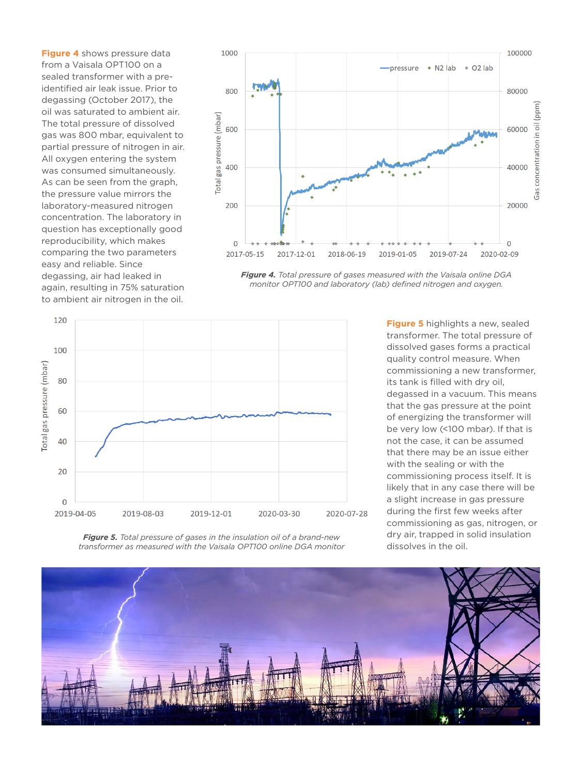**Figure 4** shows pressure data from a Vaisala OPT100 on a sealed transformer with a preidentified air leak issue. Prior to degassing (October 2017), the oil was saturated to ambient air. The total pressure of dissolved gas was 800 mbar, equivalent to partial pressure of nitrogen in air. All oxygen entering the system was consumed simultaneously. As can be seen from the graph, the pressure value mirrors the laboratory-measured nitrogen concentration. The laboratory in question has exceptionally good reproducibility, which makes comparing the two parameters easy and reliable. Since degassing, air had leaked in again, resulting in 75% saturation to ambient air nitrogen in the oil.







**Figure 5** highlights a new, sealed transformer. The total pressure of dissolved gases forms a practical quality control measure. When commissioning a new transformer, its tank is filled with dry oil, degassed in a vacuum. This means that the gas pressure at the point of energizing the transformer will be very low (<100 mbar). If that is not the case, it can be assumed that there may be an issue either with the sealing or with the commissioning process itself. It is likely that in any case there will be a slight increase in gas pressure during the first few weeks after commissioning as gas, nitrogen, or dry air, trapped in solid insulation dissolves in the oil.